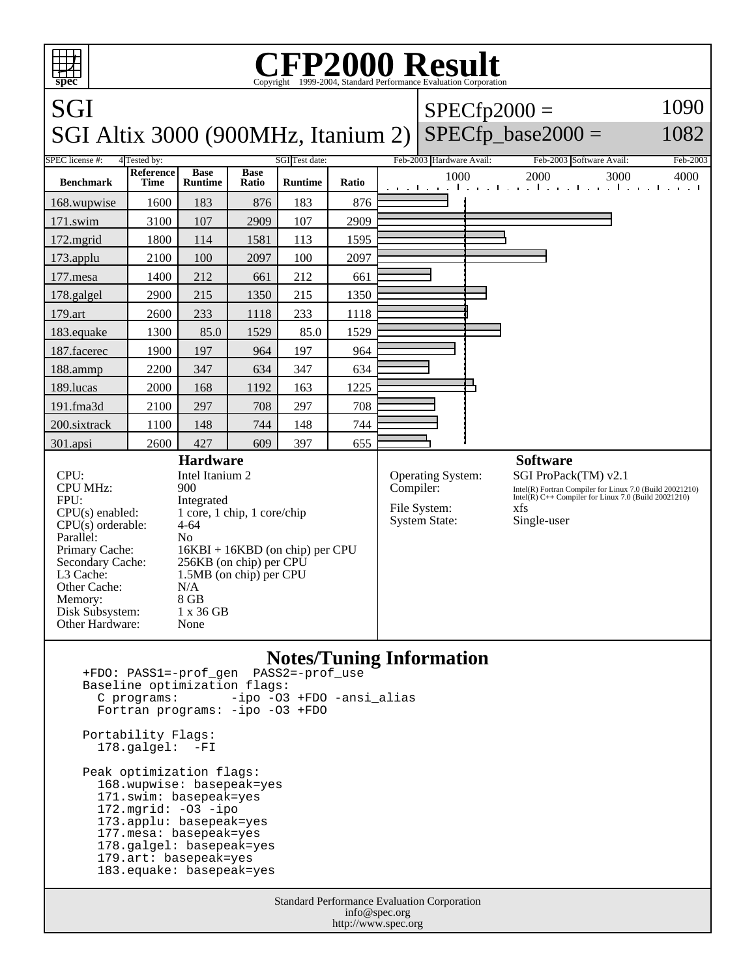

173.applu: basepeak=yes

177.mesa: basepeak=yes

 178.galgel: basepeak=yes 179.art: basepeak=yes

183.equake: basepeak=yes

Standard Performance Evaluation Corporation info@spec.org http://www.spec.org